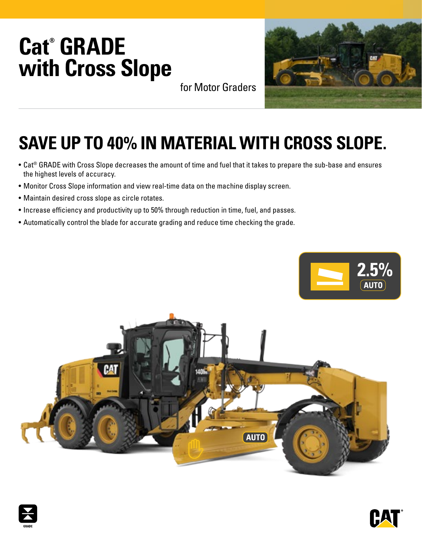# **Cat® GRADE with Cross Slope**





## **SAVE UP TO 40% IN MATERIAL WITH CROSS SLOPE.**

- Cat® GRADE with Cross Slope decreases the amount of time and fuel that it takes to prepare the sub-base and ensures the highest levels of accuracy.
- Monitor Cross Slope information and view real-time data on the machine display screen.
- Maintain desired cross slope as circle rotates.
- Increase efficiency and productivity up to 50% through reduction in time, fuel, and passes.
- Automatically control the blade for accurate grading and reduce time checking the grade.